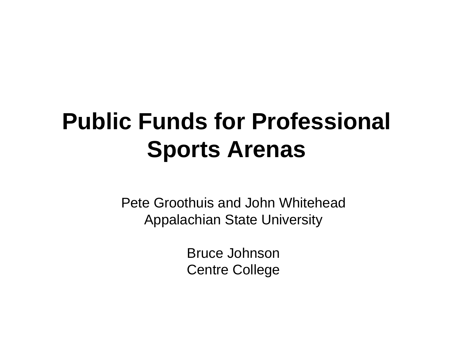## **Public Funds for Professional Sports Arenas**

Pete Groothuis and John WhiteheadAppalachian State University

> Bruce JohnsonCentre College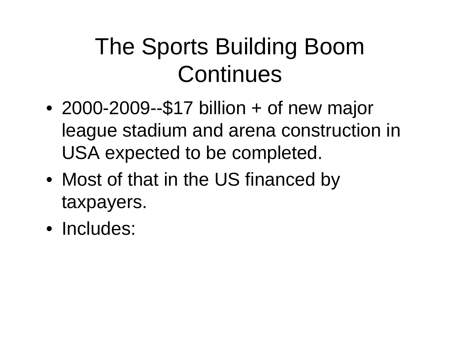## The Sports Building Boom **Continues**

- • 2000-2009--\$17 billion + of new major league stadium and arena construction in USA expected to be completed.
- Most of that in the US financed by taxpayers.
- Includes: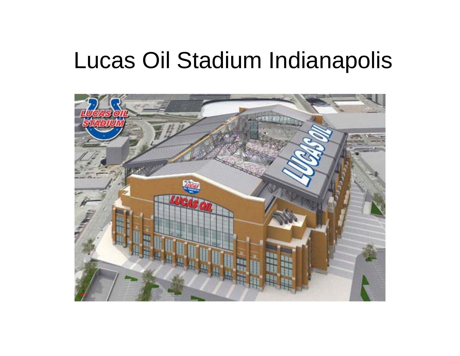## Lucas Oil Stadium Indianapolis

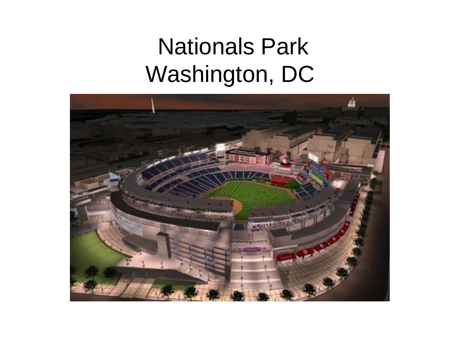## Nationals Park Washington, DC

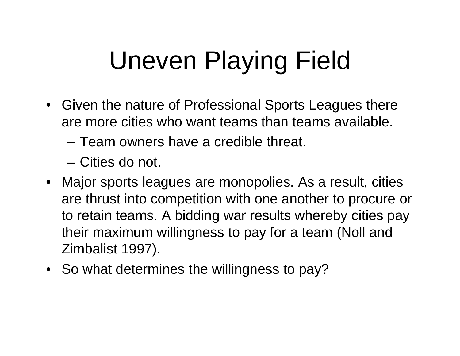# Uneven Playing Field

- Given the nature of Professional Sports Leagues there are more cities who want teams than teams available.
	- Team owners have a credible threat.
	- Cities do not.
- Major sports leagues are monopolies. As a result, cities are thrust into competition with one another to procure or to retain teams. A bidding war results whereby cities pay their maximum willingness to pay for a team (Noll and Zimbalist 1997).
- So what determines the willingness to pay?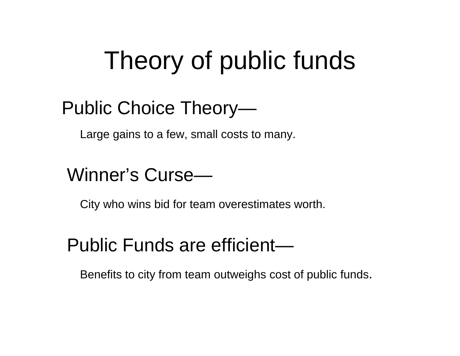## Theory of public funds

## Public Choice Theory—

Large gains to a few, small costs to many.

### Winner's Curse—

City who wins bid for team overestimates worth.

### Public Funds are efficient—

Benefits to city from team outweighs cost of public funds.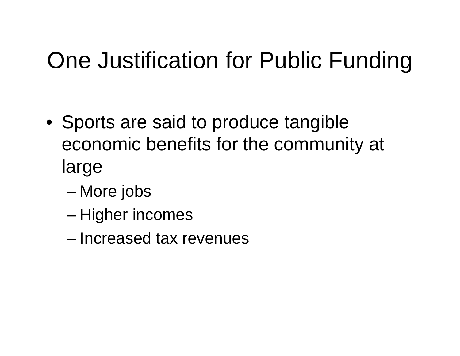## One Justification for Public Funding

- Sports are said to produce tangible economic benefits for the community at large
	- –More jobs
	- Higher incomes
	- Increased tax revenues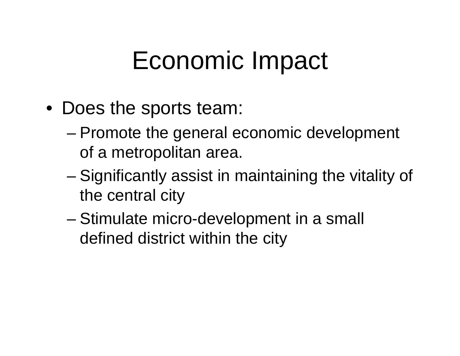## Economic Impact

- Does the sports team:
	- Promote the general economic development of a metropolitan area.
	- – Significantly assist in maintaining the vitality of the central city
	- Stimulate micro-development in a small defined district within the city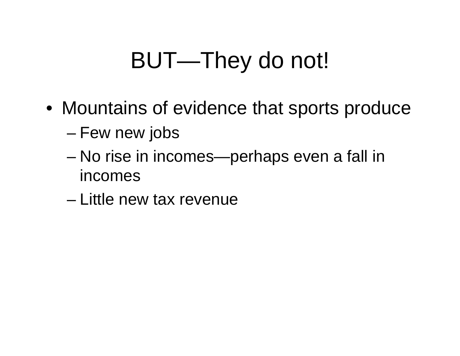## BUT—They do not!

- Mountains of evidence that sports produce
	- Few new jobs
	- – No rise in incomes—perhaps even a fall in incomes
	- Little new tax revenue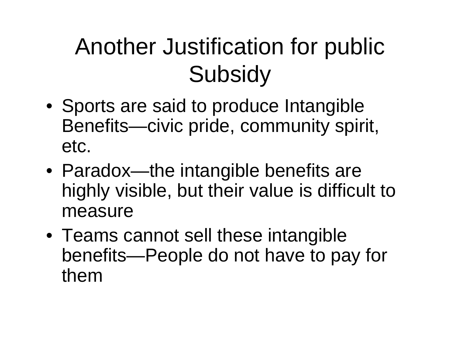## Another Justification for public **Subsidy**

- Sports are said to produce Intangible Benefits—civic pride, community spirit, etc.
- Paradox—the intangible benefits are highly visible, but their value is difficult to measure
- Teams cannot sell these intangible benefits—People do not have to pay for them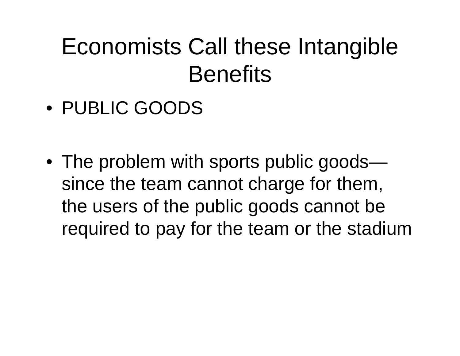## Economists Call these Intangible **Benefits**

- PUBLIC GOODS
- The problem with sports public goods since the team cannot charge for them, the users of the public goods cannot be required to pay for the team or the stadium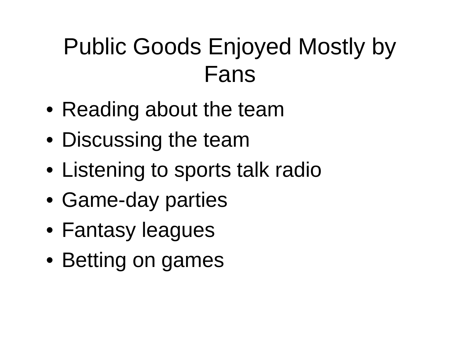## Public Goods Enjoyed Mostly by Fans

- Reading about the team
- Discussing the team
- Listening to sports talk radio
- Game-day parties
- Fantasy leagues
- Betting on games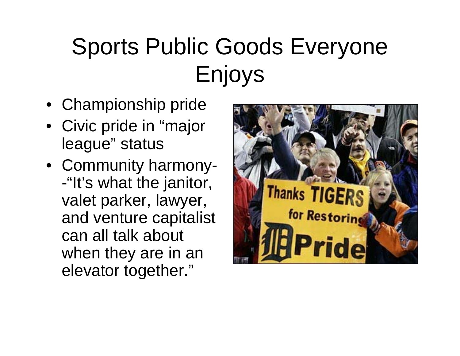## Sports Public Goods Everyone Enjoys

- Championship pride
- Civic pride in "major league" status
- Community harmony- -"It's what the janitor, valet parker, lawyer, and venture capitalist can all talk about when they are in an elevator together."

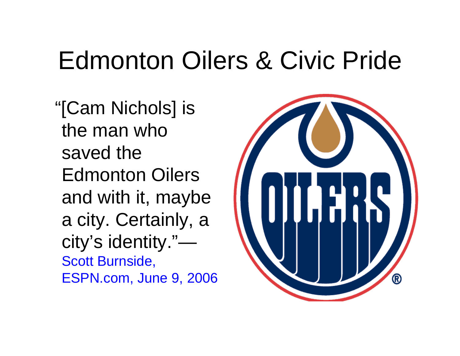## Edmonton Oilers & Civic Pride

"[Cam Nichols] is the man who saved the Edmonton Oilers and with it, maybe a city. Certainly, a city's identity."— Scott Burnside, ESPN.com, June 9, 2006

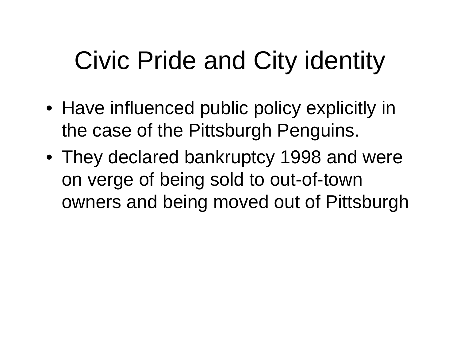# Civic Pride and City identity

- Have influenced public policy explicitly in the case of the Pittsburgh Penguins.
- They declared bankruptcy 1998 and were on verge of being sold to out-of-town owners and being moved out of Pittsburgh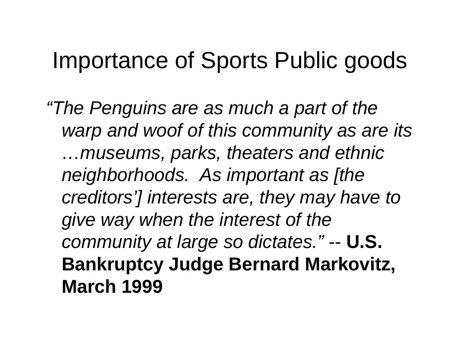## Importance of Sports Public goods

*"The Penguins are as much a part of the warp and woof of this community as are its …museums, parks, theaters and ethnic neighborhoods. As important as [the creditors'] interests are, they may have to give way when the interest of the community at large so dictates."* -- **U.S. Bankruptcy Judge Bernard Markovitz, March 1999**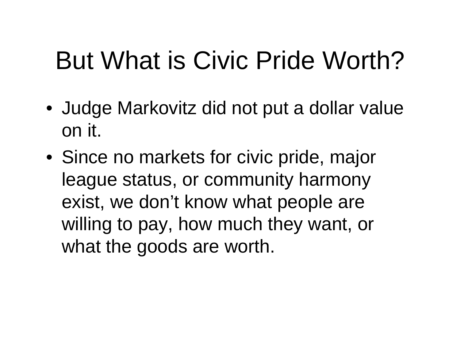## But What is Civic Pride Worth?

- Judge Markovitz did not put a dollar value on it.
- Since no markets for civic pride, major league status, or community harmony exist, we don't know what people are willing to pay, how much they want, or what the goods are worth.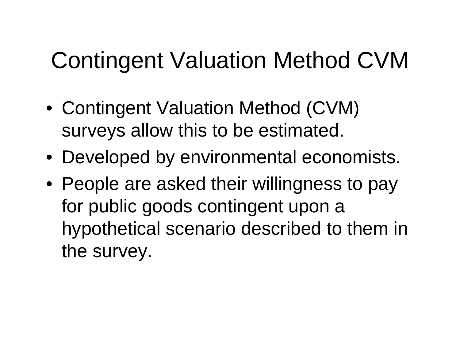## Contingent Valuation Method CVM

- Contingent Valuation Method (CVM) surveys allow this to be estimated.
- Developed by environmental economists.
- People are asked their willingness to pay for public goods contingent upon a hypothetical scenario described to them in the survey.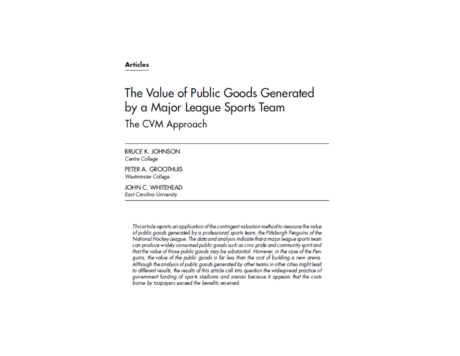#### **Articles**

### The Value of Public Goods Generated by a Major League Sports Team The CVM Approach

**BRUCE K. JOHNSON** Centre College

PETER A. GROOTHUIS **Westminster College** 

**JOHN C. WHITEHEAD East Carolina University** 

> This article reports an application of the contingent valuation method to measure the value of public goods generated by a professional sports team, the Pittsburgh Penguins of the National Hockey League. The data and analysis indicate that a major league sports team can produce widely consumed public goods such as civic pride and community spirit and that the value of those public goods may be substantial. However, in the case of the Penguins, the value of the public goods is far less than the cost of building a new arena. Although the analysis of public goods generated by other teams in other cities might lead to different results, the results of this article call into question the widespread practice of government funding of sports stadiums and arenas because it appears that the costs borne by taxpayers exceed the benefits received.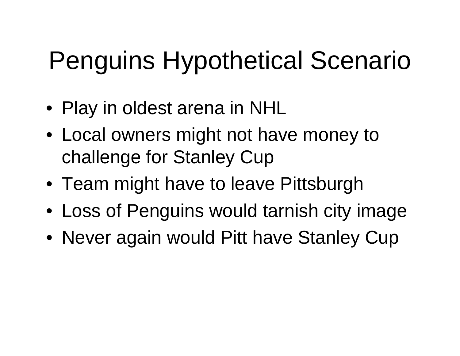# Penguins Hypothetical Scenario

- Play in oldest arena in NHL
- Local owners might not have money to challenge for Stanley Cup
- Team might have to leave Pittsburgh
- Loss of Penguins would tarnish city image
- Never again would Pitt have Stanley Cup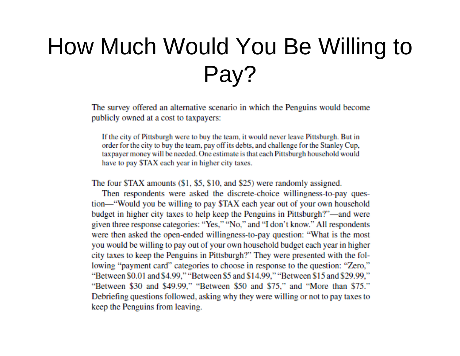## How Much Would You Be Willing to Pay?

The survey offered an alternative scenario in which the Penguins would become publicly owned at a cost to taxpayers:

If the city of Pittsburgh were to buy the team, it would never leave Pittsburgh. But in order for the city to buy the team, pay off its debts, and challenge for the Stanley Cup. taxpayer money will be needed. One estimate is that each Pittsburgh household would have to pay \$TAX each year in higher city taxes.

The four \$TAX amounts (\$1, \$5, \$10, and \$25) were randomly assigned.

Then respondents were asked the discrete-choice willingness-to-pay question—"Would you be willing to pay \$TAX each year out of your own household budget in higher city taxes to help keep the Penguins in Pittsburgh?"—and were given three response categories: "Yes," "No," and "I don't know." All respondents were then asked the open-ended willingness-to-pay question: "What is the most you would be willing to pay out of your own household budget each year in higher city taxes to keep the Penguins in Pittsburgh?" They were presented with the following "payment card" categories to choose in response to the question: "Zero," "Between \$0.01 and \$4.99," "Between \$5 and \$14.99," "Between \$15 and \$29.99," "Between \$30 and \$49.99," "Between \$50 and \$75," and "More than \$75." Debriefing questions followed, asking why they were willing or not to pay taxes to keep the Penguins from leaving.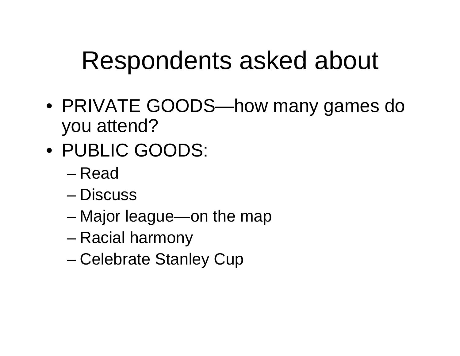## Respondents asked about

- PRIVATE GOODS—how many games do you attend?
- PUBLIC GOODS:
	- Read
	- Discuss
	- –Major league—on the map
	- –Racial harmony
	- Celebrate Stanley Cup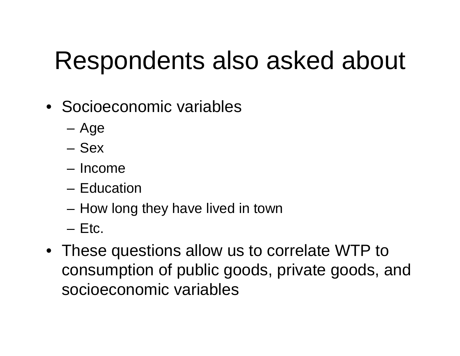## Respondents also asked about

- Socioeconomic variables
	- –Age
	- Sex
	- Income
	- Education
	- How long they have lived in town
	- Etc.
- These questions allow us to correlate WTP to consumption of public goods, private goods, and socioeconomic variables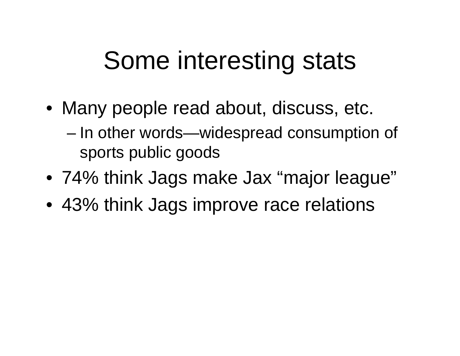## Some interesting stats

- Many people read about, discuss, etc.
	- In other words—widespread consumption of sports public goods
- 74% think Jags make Jax "major league"
- 43% think Jags improve race relations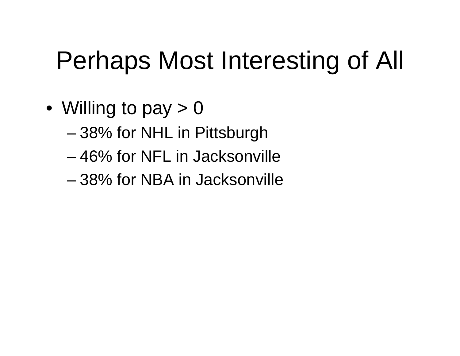# Perhaps Most Interesting of All

- Willing to pay > 0
	- 38% for NHL in Pittsburgh
	- 46% for NFL in Jacksonville
	- 38% for NBA in Jacksonville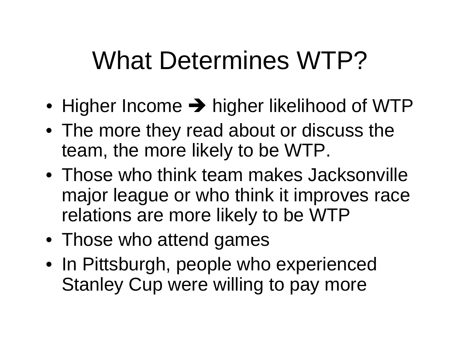## What Determines WTP?

- $\bullet\,$  Higher Income  $\,\blacktriangleright\,$  higher likelihood of WTP
- The more they read about or discuss the team, the more likely to be WTP.
- Those who think team makes Jacksonville major league or who think it improves race relations are more likely to be WTP
- Those who attend games
- In Pittsburgh, people who experienced Stanley Cup were willing to pay more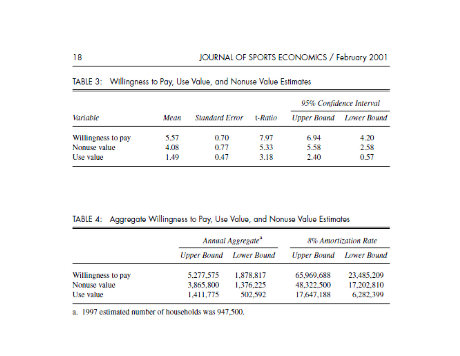|                    |      |                       |         | 95% Confidence Interval |             |
|--------------------|------|-----------------------|---------|-------------------------|-------------|
| Variable           | Mean | <b>Standard Error</b> | t-Ratio | <b>Upper Bound</b>      | Lower Bound |
| Willingness to pay | 5.57 | 0.70                  | 7.97    | 6.94                    | 4.20        |
| Nonuse value       | 4.08 | 0.77                  | 5.33    | 5.58                    | 2.58        |
| Use value          | 1.49 | 0.47                  | 3.18    | 2.40                    | 0.57        |

### TABLE 3: Willingness to Pay, Use Value, and Nonuse Value Estimates

#### TABLE 4: Aggregate Willingness to Pay, Use Value, and Nonuse Value Estimates

|                    | Annual Aggregate <sup>a</sup> |                                | 8% Amortization Rate |             |
|--------------------|-------------------------------|--------------------------------|----------------------|-------------|
|                    |                               | <b>Upper Bound</b> Lower Bound | Upper Bound          | Lower Bound |
| Willingness to pay | 5,277,575                     | 1,878,817                      | 65,969,688           | 23,485,209  |
| Nonuse value       | 3,865,800                     | 1,376,225                      | 48,322,500           | 17,202,810  |
| Use value          | 1,411,775                     | 502,592                        | 17,647,188           | 6,282,399   |

a. 1997 estimated number of households was 947,500.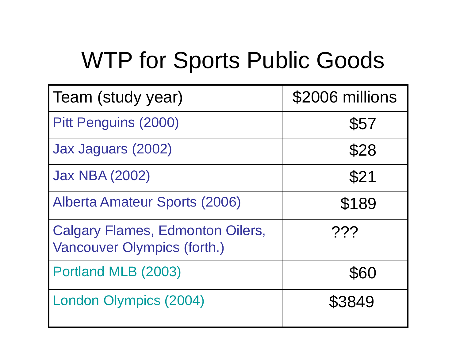## WTP for Sports Public Goods

| Team (study year)                                                      | \$2006 millions |  |
|------------------------------------------------------------------------|-----------------|--|
| <b>Pitt Penguins (2000)</b>                                            | \$57            |  |
| Jax Jaguars (2002)                                                     | \$28            |  |
| <b>Jax NBA (2002)</b>                                                  | \$21            |  |
| <b>Alberta Amateur Sports (2006)</b>                                   | \$189           |  |
| <b>Calgary Flames, Edmonton Oilers,</b><br>Vancouver Olympics (forth.) | 222             |  |
| Portland MLB (2003)                                                    | \$60            |  |
| <b>London Olympics (2004)</b>                                          | \$3849          |  |